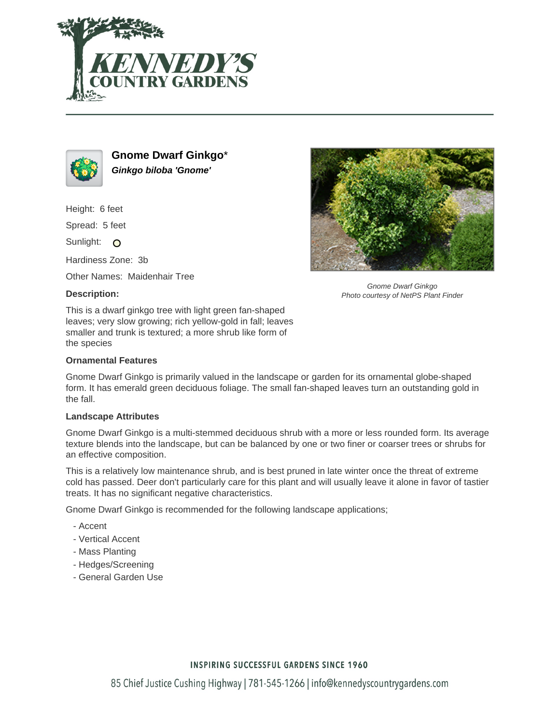



**Gnome Dwarf Ginkgo**\* **Ginkgo biloba 'Gnome'**

Height: 6 feet

Spread: 5 feet

Sunlight: O

Hardiness Zone: 3b

Other Names: Maidenhair Tree

# **Description:**



Gnome Dwarf Ginkgo Photo courtesy of NetPS Plant Finder

This is a dwarf ginkgo tree with light green fan-shaped leaves; very slow growing; rich yellow-gold in fall; leaves smaller and trunk is textured; a more shrub like form of the species

# **Ornamental Features**

Gnome Dwarf Ginkgo is primarily valued in the landscape or garden for its ornamental globe-shaped form. It has emerald green deciduous foliage. The small fan-shaped leaves turn an outstanding gold in the fall.

### **Landscape Attributes**

Gnome Dwarf Ginkgo is a multi-stemmed deciduous shrub with a more or less rounded form. Its average texture blends into the landscape, but can be balanced by one or two finer or coarser trees or shrubs for an effective composition.

This is a relatively low maintenance shrub, and is best pruned in late winter once the threat of extreme cold has passed. Deer don't particularly care for this plant and will usually leave it alone in favor of tastier treats. It has no significant negative characteristics.

Gnome Dwarf Ginkgo is recommended for the following landscape applications;

- Accent
- Vertical Accent
- Mass Planting
- Hedges/Screening
- General Garden Use

# **INSPIRING SUCCESSFUL GARDENS SINCE 1960**